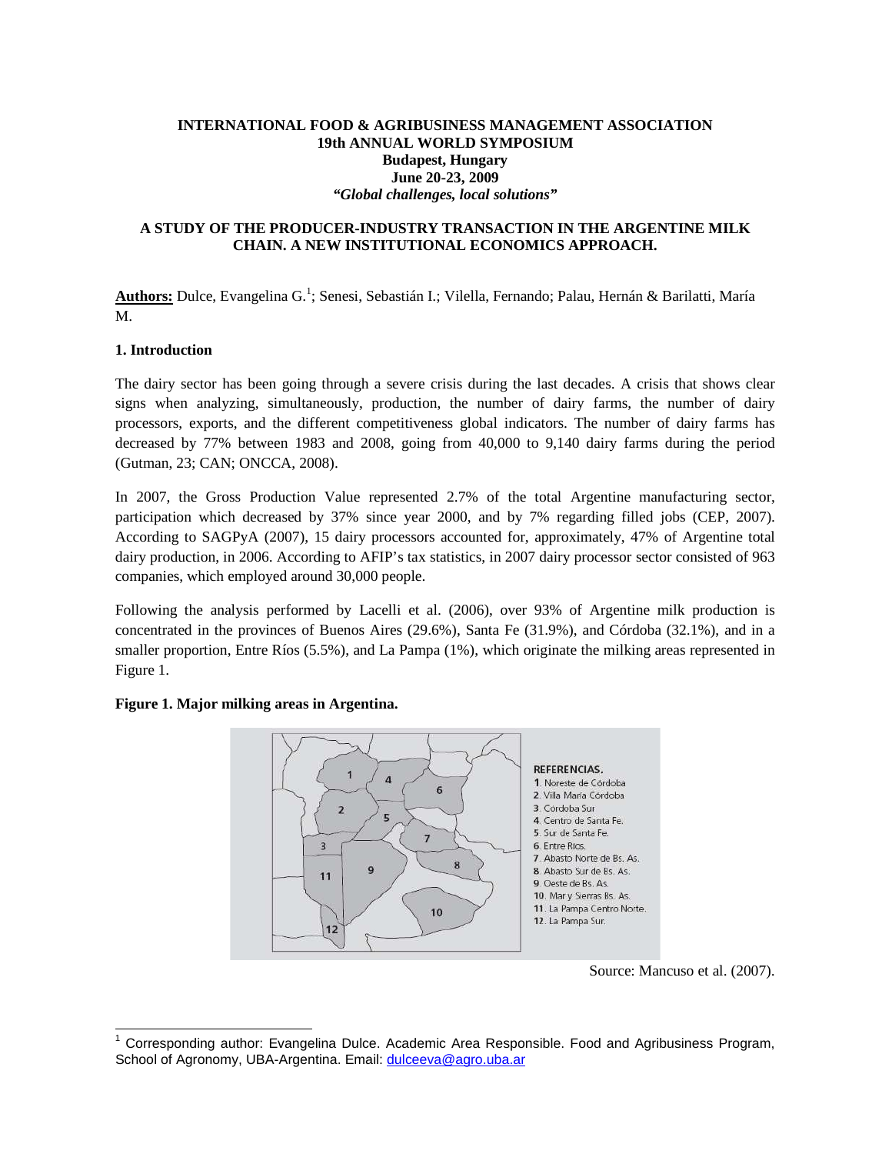# **INTERNATIONAL FOOD & AGRIBUSINESS MANAGEMENT ASSOCIATION 19th ANNUAL WORLD SYMPOSIUM Budapest, Hungary June 20-23, 2009**  *"Global challenges, local solutions"*

#### **A STUDY OF THE PRODUCER-INDUSTRY TRANSACTION IN THE ARGENTINE MILK CHAIN. A NEW INSTITUTIONAL ECONOMICS APPROACH.**

**Authors:** Dulce, Evangelina G.<sup>1</sup> ; Senesi, Sebastián I.; Vilella, Fernando; Palau, Hernán & Barilatti, María M.

#### **1. Introduction**

l

The dairy sector has been going through a severe crisis during the last decades. A crisis that shows clear signs when analyzing, simultaneously, production, the number of dairy farms, the number of dairy processors, exports, and the different competitiveness global indicators. The number of dairy farms has decreased by 77% between 1983 and 2008, going from 40,000 to 9,140 dairy farms during the period (Gutman, 23; CAN; ONCCA, 2008).

In 2007, the Gross Production Value represented 2.7% of the total Argentine manufacturing sector, participation which decreased by 37% since year 2000, and by 7% regarding filled jobs (CEP, 2007). According to SAGPyA (2007), 15 dairy processors accounted for, approximately, 47% of Argentine total dairy production, in 2006. According to AFIP's tax statistics, in 2007 dairy processor sector consisted of 963 companies, which employed around 30,000 people.

Following the analysis performed by Lacelli et al. (2006), over 93% of Argentine milk production is concentrated in the provinces of Buenos Aires (29.6%), Santa Fe (31.9%), and Córdoba (32.1%), and in a smaller proportion, Entre Ríos (5.5%), and La Pampa (1%), which originate the milking areas represented in Figure 1.

#### **REFERENCIAS.**  $\overline{1}$  $\overline{A}$ 1. Noreste de Córdoba  $6\overline{6}$ 2. Villa María Córdoba 3. Córdoba Sur  $\overline{2}$ 5 4. Centro de Santa Fe. 5. Sur de Santa Fe  $\overline{7}$ 3 6. Entre Rios. 7. Abasto Norte de Bs. As. 8 9 8. Abasto Sur de Rs. As 11 9. Oeste de Bs. As. 10. Mar y Sierras Bs. As. 11. La Pampa Centro Norte. 10 12. La Pampa Sur.  $12$

## **Figure 1. Major milking areas in Argentina.**

Source: Mancuso et al. (2007).

<sup>&</sup>lt;sup>1</sup> Corresponding author: Evangelina Dulce. Academic Area Responsible. Food and Agribusiness Program, School of Agronomy, UBA-Argentina. Email: dulceeva@agro.uba.ar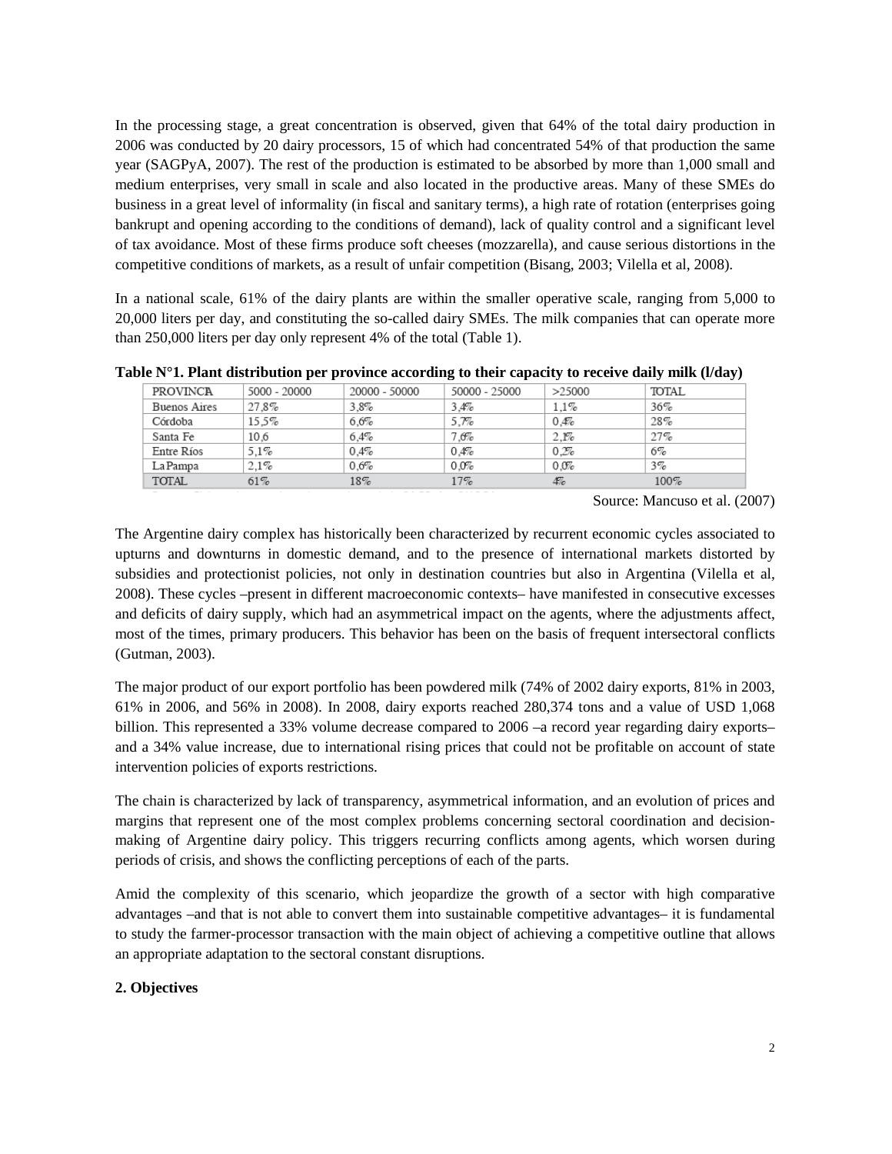In the processing stage, a great concentration is observed, given that 64% of the total dairy production in 2006 was conducted by 20 dairy processors, 15 of which had concentrated 54% of that production the same year (SAGPyA, 2007). The rest of the production is estimated to be absorbed by more than 1,000 small and medium enterprises, very small in scale and also located in the productive areas. Many of these SMEs do business in a great level of informality (in fiscal and sanitary terms), a high rate of rotation (enterprises going bankrupt and opening according to the conditions of demand), lack of quality control and a significant level of tax avoidance. Most of these firms produce soft cheeses (mozzarella), and cause serious distortions in the competitive conditions of markets, as a result of unfair competition (Bisang, 2003; Vilella et al, 2008).

In a national scale, 61% of the dairy plants are within the smaller operative scale, ranging from 5,000 to 20,000 liters per day, and constituting the so-called dairy SMEs. The milk companies that can operate more than 250,000 liters per day only represent 4% of the total (Table 1).

| <b>PROVINCA</b> | 5000 - 20000 | 20000 - 50000 | 50000 - 25000 | >25000  | <b>TOTAL</b> |
|-----------------|--------------|---------------|---------------|---------|--------------|
| Buenos Aires    | 27.8%        | $3.8\%$       | 3.4%          | $1.1\%$ | 36%          |
| Córdoba         | 15.5%        | 6.6%          | 5.7%          | 0.4%    | 28%          |
| Santa Fe        | 10.6         | $6.4\%$       | 7.6%          | 2.1%    | 27%          |
| Entre Ríos      | $5.1\%$      | $0.4\%$       | 0.4%          | 0.2%    | $6\%$        |
| La Pampa        | 2.1%         | 0.6%          | 0.0%          | 0.0%    | $3\%$        |
| <b>TOTAL</b>    | 61%          | $18\%$        | 17%           | 4%      | $100\%$      |

**Table N°1. Plant distribution per province according to their capacity to receive daily milk (l/day)** 

Source: Mancuso et al. (2007)

The Argentine dairy complex has historically been characterized by recurrent economic cycles associated to upturns and downturns in domestic demand, and to the presence of international markets distorted by subsidies and protectionist policies, not only in destination countries but also in Argentina (Vilella et al, 2008). These cycles –present in different macroeconomic contexts– have manifested in consecutive excesses and deficits of dairy supply, which had an asymmetrical impact on the agents, where the adjustments affect, most of the times, primary producers. This behavior has been on the basis of frequent intersectoral conflicts (Gutman, 2003).

The major product of our export portfolio has been powdered milk (74% of 2002 dairy exports, 81% in 2003, 61% in 2006, and 56% in 2008). In 2008, dairy exports reached 280,374 tons and a value of USD 1,068 billion. This represented a 33% volume decrease compared to 2006 –a record year regarding dairy exports– and a 34% value increase, due to international rising prices that could not be profitable on account of state intervention policies of exports restrictions.

The chain is characterized by lack of transparency, asymmetrical information, and an evolution of prices and margins that represent one of the most complex problems concerning sectoral coordination and decisionmaking of Argentine dairy policy. This triggers recurring conflicts among agents, which worsen during periods of crisis, and shows the conflicting perceptions of each of the parts.

Amid the complexity of this scenario, which jeopardize the growth of a sector with high comparative advantages –and that is not able to convert them into sustainable competitive advantages– it is fundamental to study the farmer-processor transaction with the main object of achieving a competitive outline that allows an appropriate adaptation to the sectoral constant disruptions.

## **2. Objectives**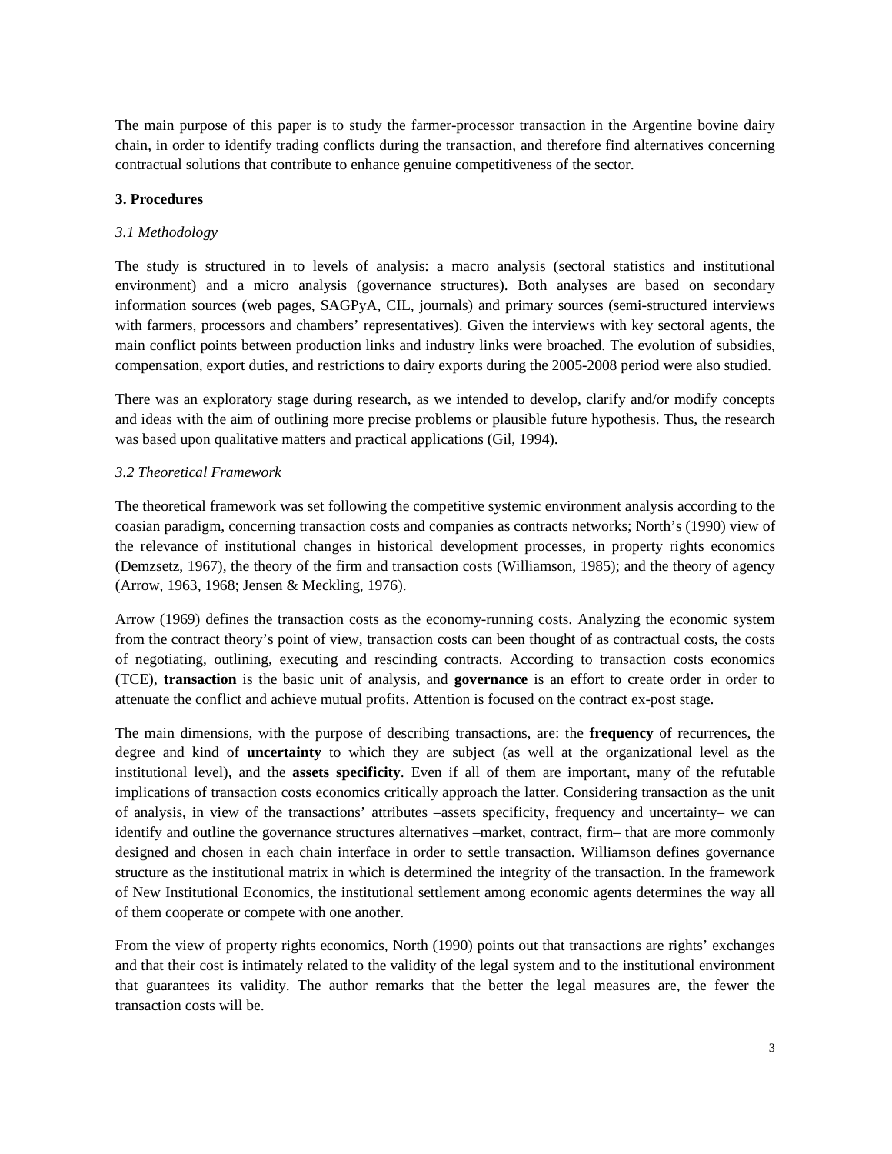The main purpose of this paper is to study the farmer-processor transaction in the Argentine bovine dairy chain, in order to identify trading conflicts during the transaction, and therefore find alternatives concerning contractual solutions that contribute to enhance genuine competitiveness of the sector.

# **3. Procedures**

# *3.1 Methodology*

The study is structured in to levels of analysis: a macro analysis (sectoral statistics and institutional environment) and a micro analysis (governance structures). Both analyses are based on secondary information sources (web pages, SAGPyA, CIL, journals) and primary sources (semi-structured interviews with farmers, processors and chambers' representatives). Given the interviews with key sectoral agents, the main conflict points between production links and industry links were broached. The evolution of subsidies, compensation, export duties, and restrictions to dairy exports during the 2005-2008 period were also studied.

There was an exploratory stage during research, as we intended to develop, clarify and/or modify concepts and ideas with the aim of outlining more precise problems or plausible future hypothesis. Thus, the research was based upon qualitative matters and practical applications (Gil, 1994).

# *3.2 Theoretical Framework*

The theoretical framework was set following the competitive systemic environment analysis according to the coasian paradigm, concerning transaction costs and companies as contracts networks; North's (1990) view of the relevance of institutional changes in historical development processes, in property rights economics (Demzsetz, 1967), the theory of the firm and transaction costs (Williamson, 1985); and the theory of agency (Arrow, 1963, 1968; Jensen & Meckling, 1976).

Arrow (1969) defines the transaction costs as the economy-running costs. Analyzing the economic system from the contract theory's point of view, transaction costs can been thought of as contractual costs, the costs of negotiating, outlining, executing and rescinding contracts. According to transaction costs economics (TCE), **transaction** is the basic unit of analysis, and **governance** is an effort to create order in order to attenuate the conflict and achieve mutual profits. Attention is focused on the contract ex-post stage.

The main dimensions, with the purpose of describing transactions, are: the **frequency** of recurrences, the degree and kind of **uncertainty** to which they are subject (as well at the organizational level as the institutional level), and the **assets specificity**. Even if all of them are important, many of the refutable implications of transaction costs economics critically approach the latter. Considering transaction as the unit of analysis, in view of the transactions' attributes –assets specificity, frequency and uncertainty– we can identify and outline the governance structures alternatives –market, contract, firm– that are more commonly designed and chosen in each chain interface in order to settle transaction. Williamson defines governance structure as the institutional matrix in which is determined the integrity of the transaction. In the framework of New Institutional Economics, the institutional settlement among economic agents determines the way all of them cooperate or compete with one another.

From the view of property rights economics, North (1990) points out that transactions are rights' exchanges and that their cost is intimately related to the validity of the legal system and to the institutional environment that guarantees its validity. The author remarks that the better the legal measures are, the fewer the transaction costs will be.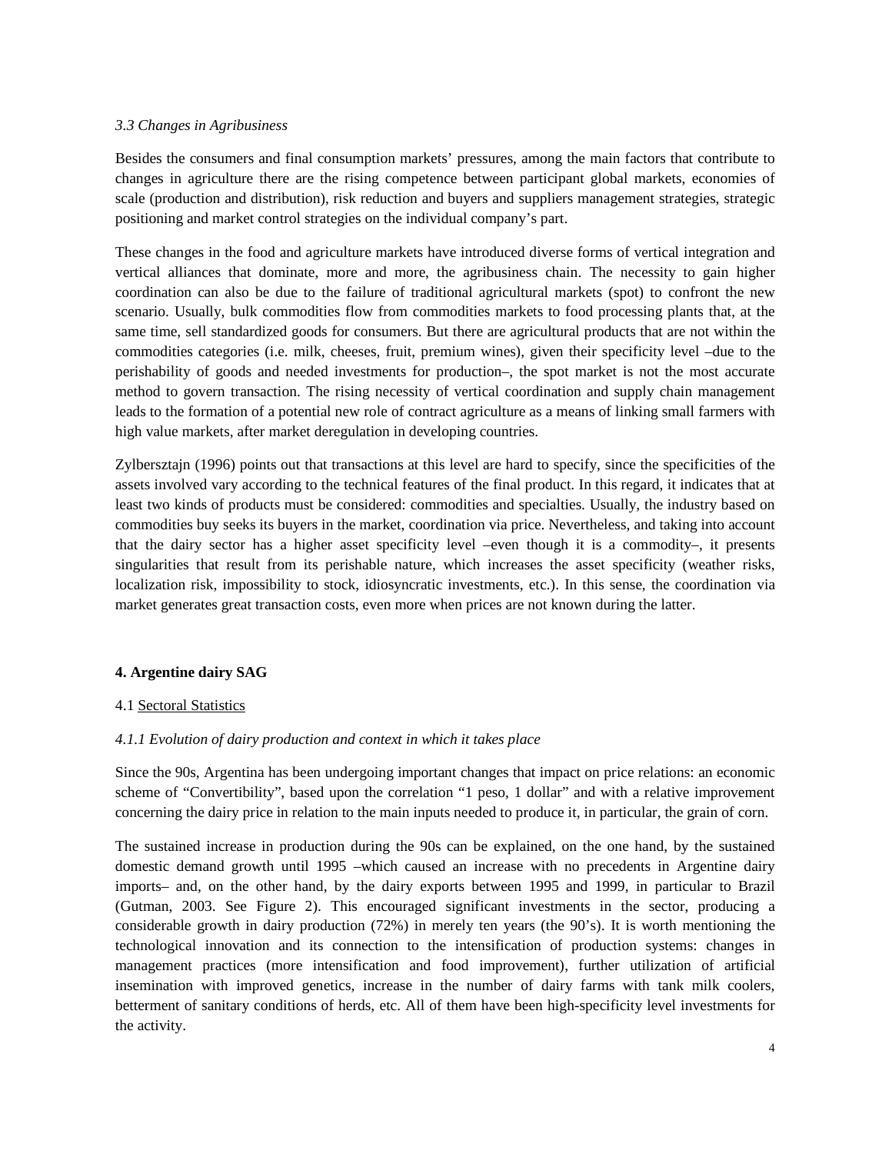#### *3.3 Changes in Agribusiness*

Besides the consumers and final consumption markets' pressures, among the main factors that contribute to changes in agriculture there are the rising competence between participant global markets, economies of scale (production and distribution), risk reduction and buyers and suppliers management strategies, strategic positioning and market control strategies on the individual company's part.

These changes in the food and agriculture markets have introduced diverse forms of vertical integration and vertical alliances that dominate, more and more, the agribusiness chain. The necessity to gain higher coordination can also be due to the failure of traditional agricultural markets (spot) to confront the new scenario. Usually, bulk commodities flow from commodities markets to food processing plants that, at the same time, sell standardized goods for consumers. But there are agricultural products that are not within the commodities categories (i.e. milk, cheeses, fruit, premium wines), given their specificity level –due to the perishability of goods and needed investments for production–, the spot market is not the most accurate method to govern transaction. The rising necessity of vertical coordination and supply chain management leads to the formation of a potential new role of contract agriculture as a means of linking small farmers with high value markets, after market deregulation in developing countries.

Zylbersztajn (1996) points out that transactions at this level are hard to specify, since the specificities of the assets involved vary according to the technical features of the final product. In this regard, it indicates that at least two kinds of products must be considered: commodities and specialties. Usually, the industry based on commodities buy seeks its buyers in the market, coordination via price. Nevertheless, and taking into account that the dairy sector has a higher asset specificity level –even though it is a commodity–, it presents singularities that result from its perishable nature, which increases the asset specificity (weather risks, localization risk, impossibility to stock, idiosyncratic investments, etc.). In this sense, the coordination via market generates great transaction costs, even more when prices are not known during the latter.

## **4. Argentine dairy SAG**

## 4.1 Sectoral Statistics

#### *4.1.1 Evolution of dairy production and context in which it takes place*

Since the 90s, Argentina has been undergoing important changes that impact on price relations: an economic scheme of "Convertibility", based upon the correlation "1 peso, 1 dollar" and with a relative improvement concerning the dairy price in relation to the main inputs needed to produce it, in particular, the grain of corn.

The sustained increase in production during the 90s can be explained, on the one hand, by the sustained domestic demand growth until 1995 –which caused an increase with no precedents in Argentine dairy imports– and, on the other hand, by the dairy exports between 1995 and 1999, in particular to Brazil (Gutman, 2003. See Figure 2). This encouraged significant investments in the sector, producing a considerable growth in dairy production (72%) in merely ten years (the 90's). It is worth mentioning the technological innovation and its connection to the intensification of production systems: changes in management practices (more intensification and food improvement), further utilization of artificial insemination with improved genetics, increase in the number of dairy farms with tank milk coolers, betterment of sanitary conditions of herds, etc. All of them have been high-specificity level investments for the activity.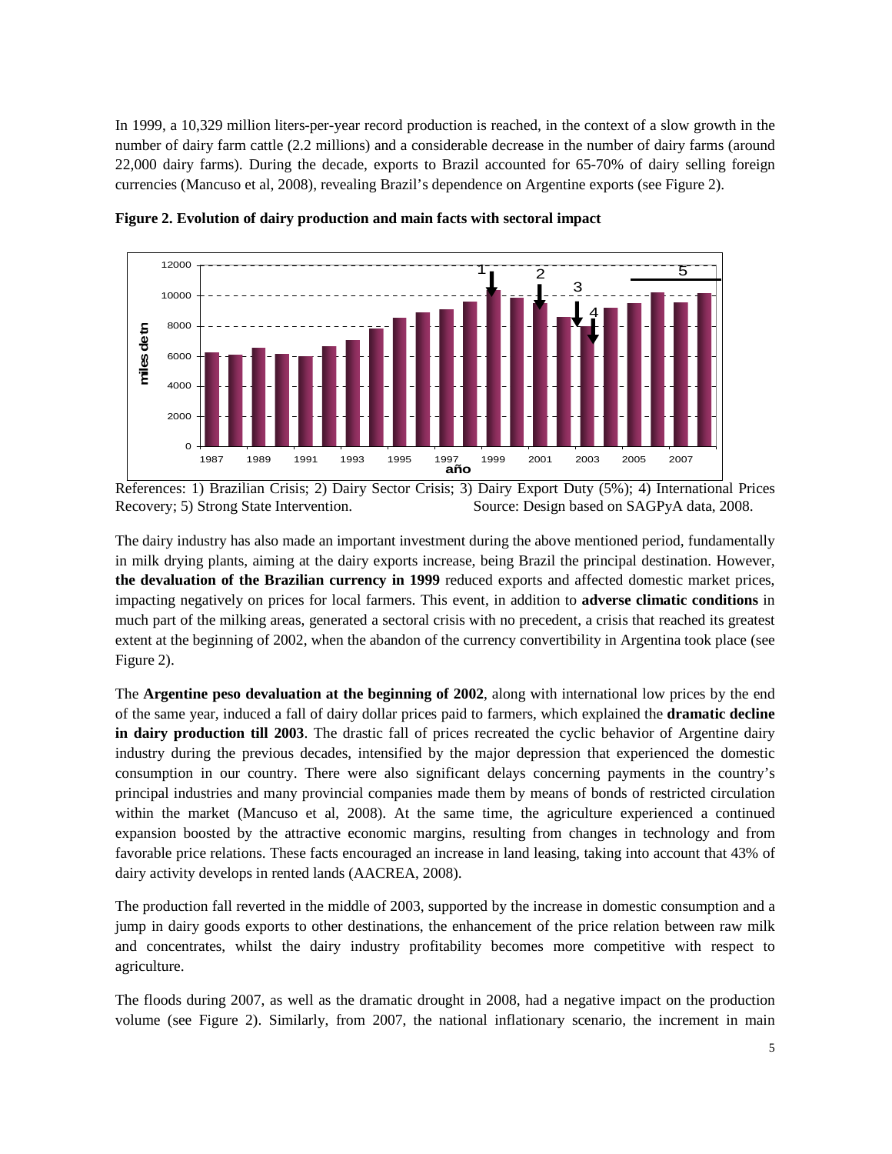In 1999, a 10,329 million liters-per-year record production is reached, in the context of a slow growth in the number of dairy farm cattle (2.2 millions) and a considerable decrease in the number of dairy farms (around 22,000 dairy farms). During the decade, exports to Brazil accounted for 65-70% of dairy selling foreign currencies (Mancuso et al, 2008), revealing Brazil's dependence on Argentine exports (see Figure 2).



**Figure 2. Evolution of dairy production and main facts with sectoral impact** 

References: 1) Brazilian Crisis; 2) Dairy Sector Crisis; 3) Dairy Export Duty (5%); 4) International Prices Recovery; 5) Strong State Intervention. Source: Design based on SAGPyA data, 2008.

The dairy industry has also made an important investment during the above mentioned period, fundamentally in milk drying plants, aiming at the dairy exports increase, being Brazil the principal destination. However, **the devaluation of the Brazilian currency in 1999** reduced exports and affected domestic market prices, impacting negatively on prices for local farmers. This event, in addition to **adverse climatic conditions** in much part of the milking areas, generated a sectoral crisis with no precedent, a crisis that reached its greatest extent at the beginning of 2002, when the abandon of the currency convertibility in Argentina took place (see Figure 2).

The **Argentine peso devaluation at the beginning of 2002**, along with international low prices by the end of the same year, induced a fall of dairy dollar prices paid to farmers, which explained the **dramatic decline in dairy production till 2003**. The drastic fall of prices recreated the cyclic behavior of Argentine dairy industry during the previous decades, intensified by the major depression that experienced the domestic consumption in our country. There were also significant delays concerning payments in the country's principal industries and many provincial companies made them by means of bonds of restricted circulation within the market (Mancuso et al, 2008). At the same time, the agriculture experienced a continued expansion boosted by the attractive economic margins, resulting from changes in technology and from favorable price relations. These facts encouraged an increase in land leasing, taking into account that 43% of dairy activity develops in rented lands (AACREA, 2008).

The production fall reverted in the middle of 2003, supported by the increase in domestic consumption and a jump in dairy goods exports to other destinations, the enhancement of the price relation between raw milk and concentrates, whilst the dairy industry profitability becomes more competitive with respect to agriculture.

The floods during 2007, as well as the dramatic drought in 2008, had a negative impact on the production volume (see Figure 2). Similarly, from 2007, the national inflationary scenario, the increment in main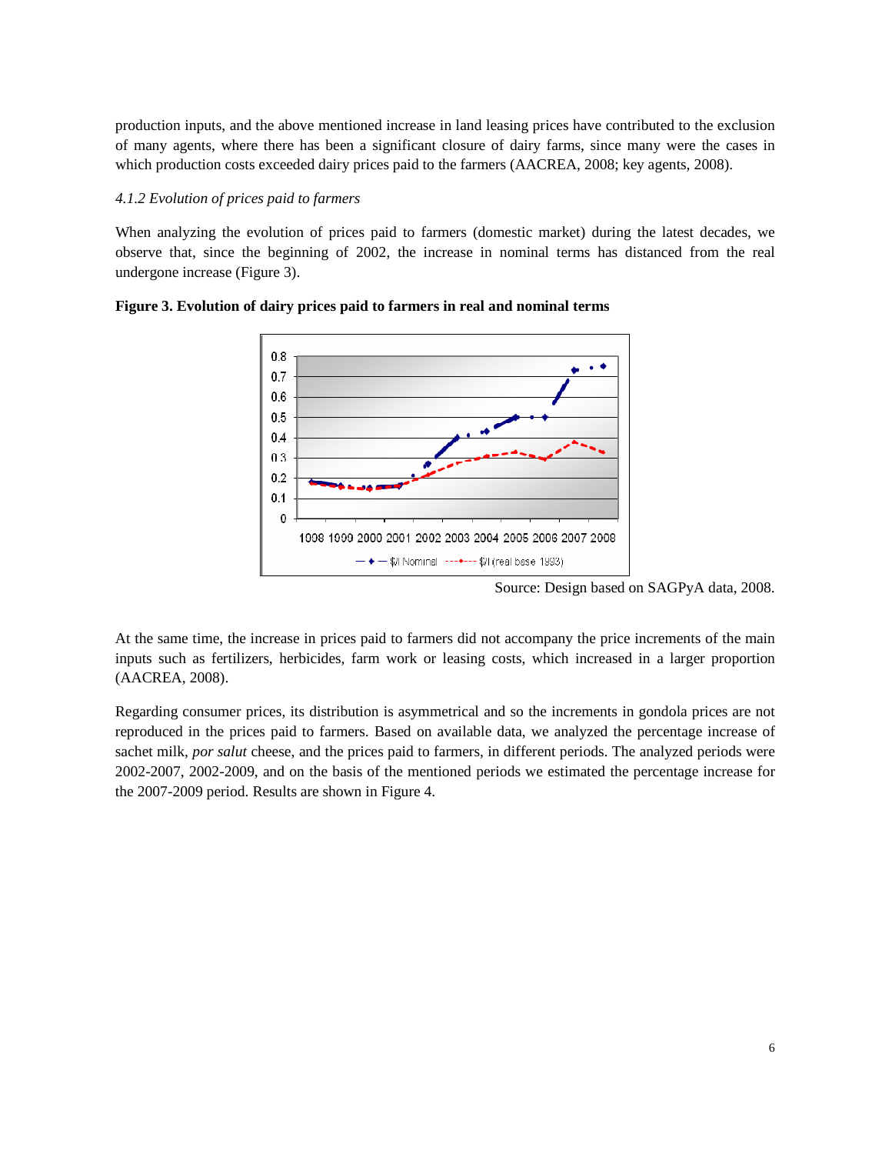production inputs, and the above mentioned increase in land leasing prices have contributed to the exclusion of many agents, where there has been a significant closure of dairy farms, since many were the cases in which production costs exceeded dairy prices paid to the farmers (AACREA, 2008; key agents, 2008).

#### *4.1.2 Evolution of prices paid to farmers*

When analyzing the evolution of prices paid to farmers (domestic market) during the latest decades, we observe that, since the beginning of 2002, the increase in nominal terms has distanced from the real undergone increase (Figure 3).



**Figure 3. Evolution of dairy prices paid to farmers in real and nominal terms** 

Source: Design based on SAGPyA data, 2008.

At the same time, the increase in prices paid to farmers did not accompany the price increments of the main inputs such as fertilizers, herbicides, farm work or leasing costs, which increased in a larger proportion (AACREA, 2008).

Regarding consumer prices, its distribution is asymmetrical and so the increments in gondola prices are not reproduced in the prices paid to farmers. Based on available data, we analyzed the percentage increase of sachet milk, *por salut* cheese, and the prices paid to farmers, in different periods. The analyzed periods were 2002-2007, 2002-2009, and on the basis of the mentioned periods we estimated the percentage increase for the 2007-2009 period. Results are shown in Figure 4.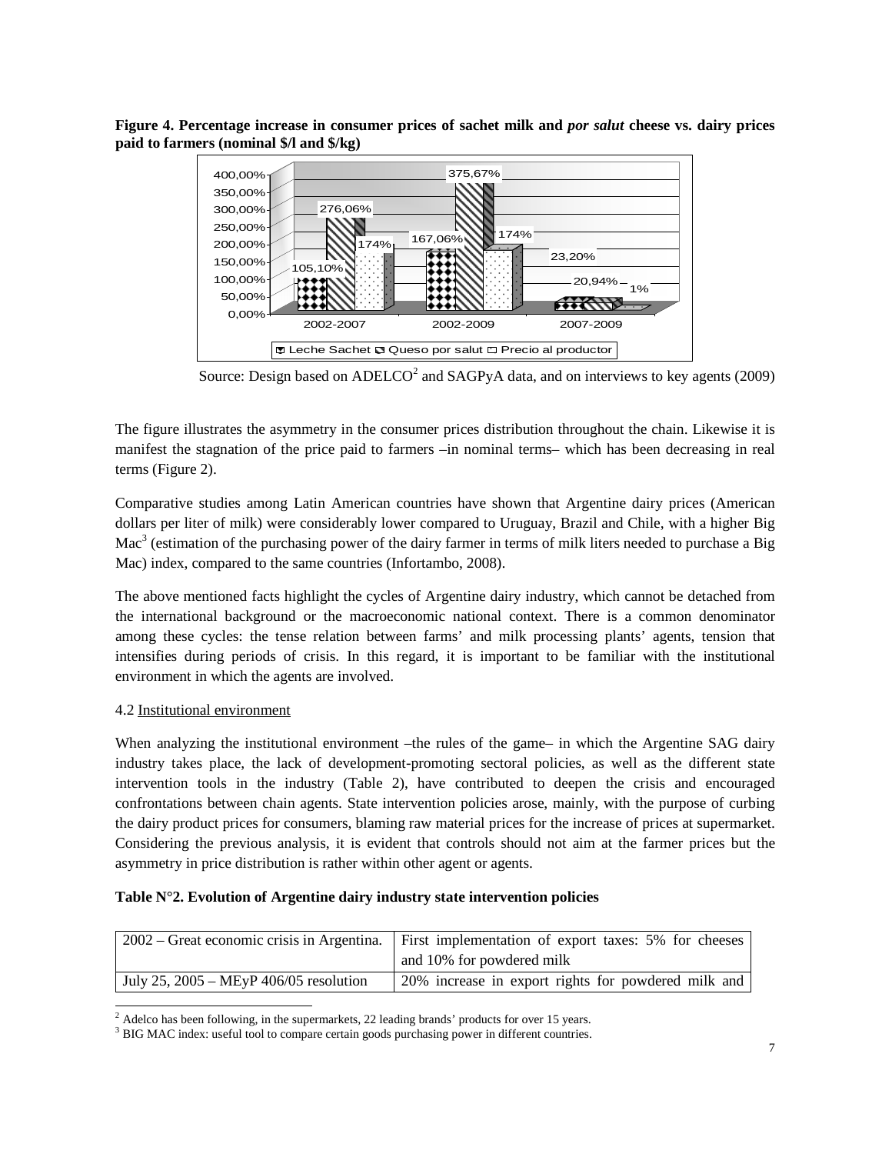**Figure 4. Percentage increase in consumer prices of sachet milk and** *por salut* **cheese vs. dairy prices paid to farmers (nominal \$/l and \$/kg)** 



Source: Design based on  $ADELCO<sup>2</sup>$  and  $SAGPyA$  data, and on interviews to key agents (2009)

The figure illustrates the asymmetry in the consumer prices distribution throughout the chain. Likewise it is manifest the stagnation of the price paid to farmers –in nominal terms– which has been decreasing in real terms (Figure 2).

Comparative studies among Latin American countries have shown that Argentine dairy prices (American dollars per liter of milk) were considerably lower compared to Uruguay, Brazil and Chile, with a higher Big Mac<sup>3</sup> (estimation of the purchasing power of the dairy farmer in terms of milk liters needed to purchase a Big Mac) index, compared to the same countries (Infortambo, 2008).

The above mentioned facts highlight the cycles of Argentine dairy industry, which cannot be detached from the international background or the macroeconomic national context. There is a common denominator among these cycles: the tense relation between farms' and milk processing plants' agents, tension that intensifies during periods of crisis. In this regard, it is important to be familiar with the institutional environment in which the agents are involved.

# 4.2 Institutional environment

When analyzing the institutional environment –the rules of the game– in which the Argentine SAG dairy industry takes place, the lack of development-promoting sectoral policies, as well as the different state intervention tools in the industry (Table 2), have contributed to deepen the crisis and encouraged confrontations between chain agents. State intervention policies arose, mainly, with the purpose of curbing the dairy product prices for consumers, blaming raw material prices for the increase of prices at supermarket. Considering the previous analysis, it is evident that controls should not aim at the farmer prices but the asymmetry in price distribution is rather within other agent or agents.

## **Table N°2. Evolution of Argentine dairy industry state intervention policies**

| 2002 – Great economic crisis in Argentina.       | First implementation of export taxes: 5% for cheeses |
|--------------------------------------------------|------------------------------------------------------|
|                                                  | and 10% for powdered milk                            |
| July 25, $2005 - \text{MEyP } 406/05$ resolution | 20% increase in export rights for powdered milk and  |

l  $2$  Adelco has been following, in the supermarkets, 22 leading brands' products for over 15 years.

<sup>&</sup>lt;sup>3</sup> BIG MAC index: useful tool to compare certain goods purchasing power in different countries.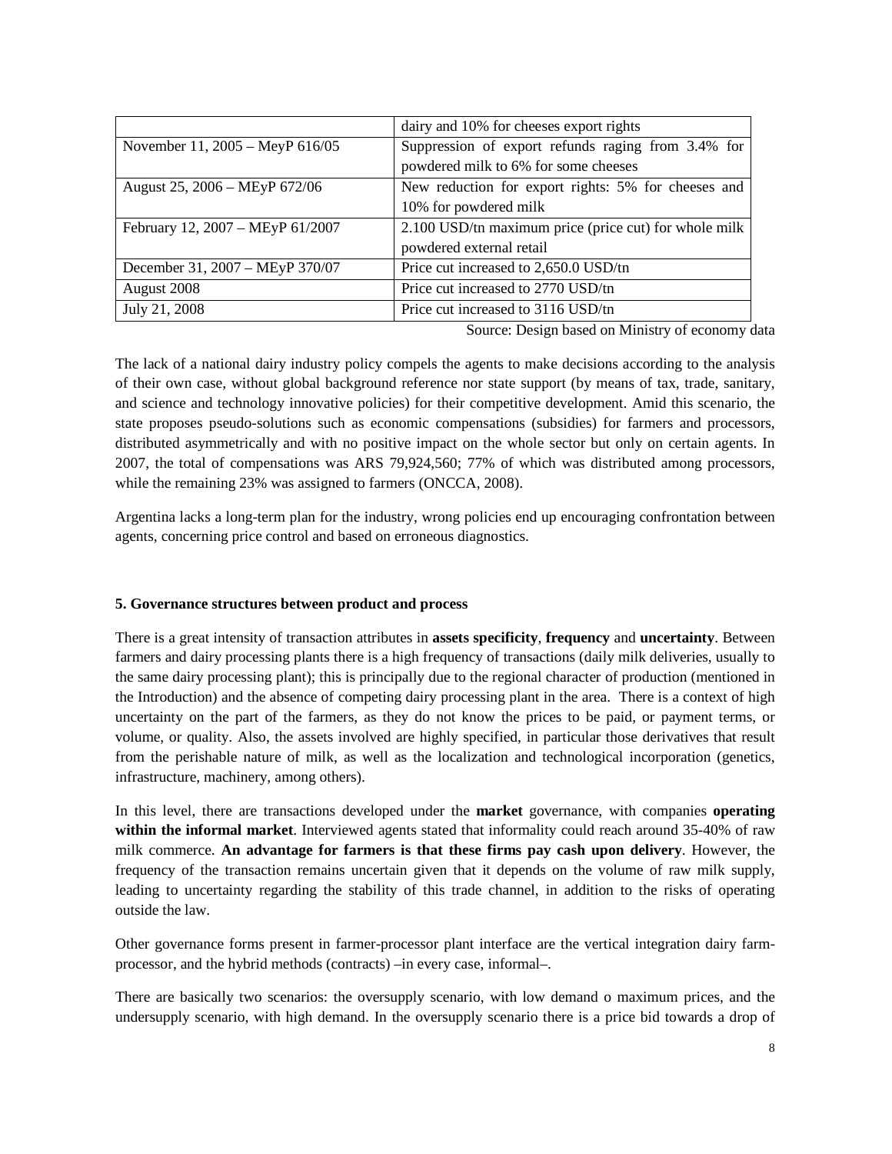|                                  | dairy and 10% for cheeses export rights               |
|----------------------------------|-------------------------------------------------------|
| November 11, 2005 – MeyP 616/05  | Suppression of export refunds raging from 3.4% for    |
|                                  | powdered milk to 6% for some cheeses                  |
| August 25, 2006 - MEyP 672/06    | New reduction for export rights: 5% for cheeses and   |
|                                  | 10% for powdered milk                                 |
| February 12, 2007 - MEyP 61/2007 | 2.100 USD/tn maximum price (price cut) for whole milk |
|                                  | powdered external retail                              |
| December 31, 2007 - MEyP 370/07  | Price cut increased to 2,650.0 USD/tn                 |
| August 2008                      | Price cut increased to 2770 USD/tn                    |
| July 21, 2008                    | Price cut increased to 3116 USD/tn                    |

Source: Design based on Ministry of economy data

The lack of a national dairy industry policy compels the agents to make decisions according to the analysis of their own case, without global background reference nor state support (by means of tax, trade, sanitary, and science and technology innovative policies) for their competitive development. Amid this scenario, the state proposes pseudo-solutions such as economic compensations (subsidies) for farmers and processors, distributed asymmetrically and with no positive impact on the whole sector but only on certain agents. In 2007, the total of compensations was ARS 79,924,560; 77% of which was distributed among processors, while the remaining 23% was assigned to farmers (ONCCA, 2008).

Argentina lacks a long-term plan for the industry, wrong policies end up encouraging confrontation between agents, concerning price control and based on erroneous diagnostics.

## **5. Governance structures between product and process**

There is a great intensity of transaction attributes in **assets specificity**, **frequency** and **uncertainty**. Between farmers and dairy processing plants there is a high frequency of transactions (daily milk deliveries, usually to the same dairy processing plant); this is principally due to the regional character of production (mentioned in the Introduction) and the absence of competing dairy processing plant in the area. There is a context of high uncertainty on the part of the farmers, as they do not know the prices to be paid, or payment terms, or volume, or quality. Also, the assets involved are highly specified, in particular those derivatives that result from the perishable nature of milk, as well as the localization and technological incorporation (genetics, infrastructure, machinery, among others).

In this level, there are transactions developed under the **market** governance, with companies **operating within the informal market**. Interviewed agents stated that informality could reach around 35-40% of raw milk commerce. **An advantage for farmers is that these firms pay cash upon delivery**. However, the frequency of the transaction remains uncertain given that it depends on the volume of raw milk supply, leading to uncertainty regarding the stability of this trade channel, in addition to the risks of operating outside the law.

Other governance forms present in farmer-processor plant interface are the vertical integration dairy farmprocessor, and the hybrid methods (contracts) –in every case, informal–.

There are basically two scenarios: the oversupply scenario, with low demand o maximum prices, and the undersupply scenario, with high demand. In the oversupply scenario there is a price bid towards a drop of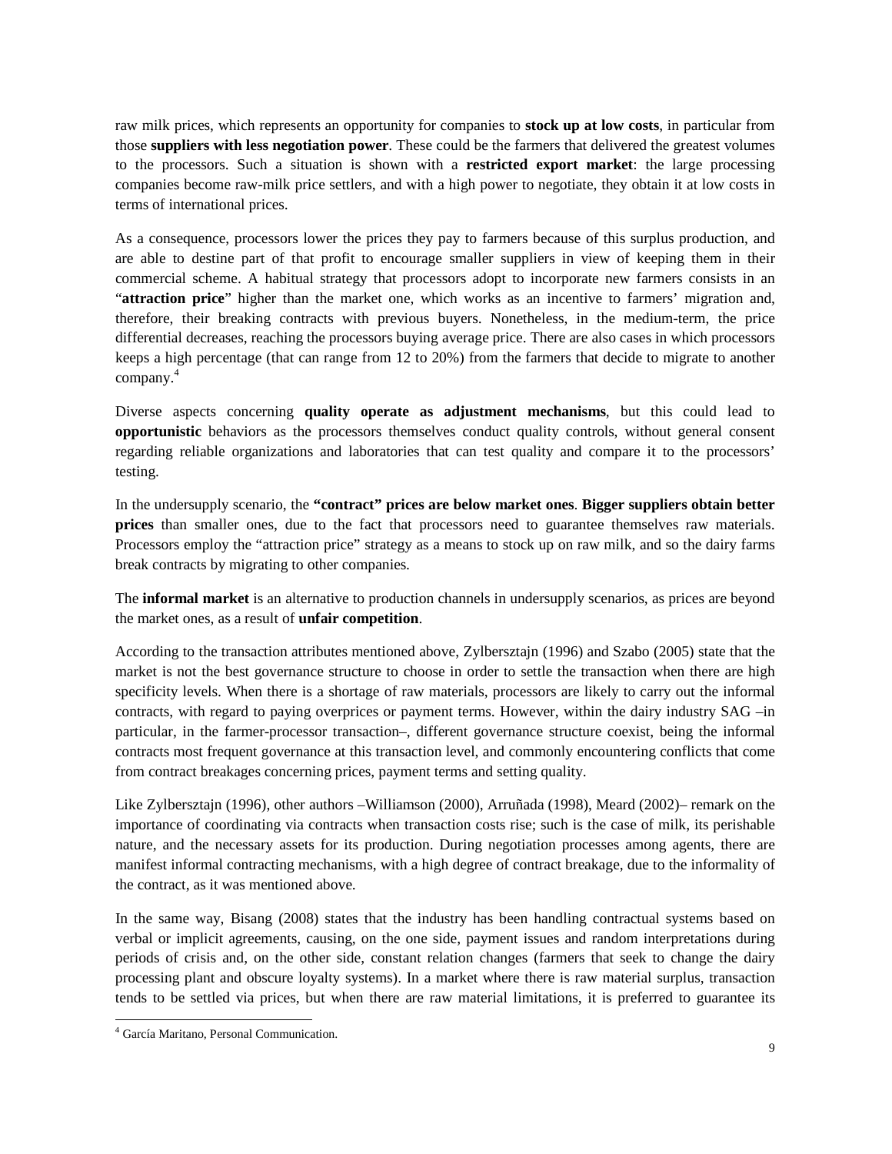raw milk prices, which represents an opportunity for companies to **stock up at low costs**, in particular from those **suppliers with less negotiation power**. These could be the farmers that delivered the greatest volumes to the processors. Such a situation is shown with a **restricted export market**: the large processing companies become raw-milk price settlers, and with a high power to negotiate, they obtain it at low costs in terms of international prices.

As a consequence, processors lower the prices they pay to farmers because of this surplus production, and are able to destine part of that profit to encourage smaller suppliers in view of keeping them in their commercial scheme. A habitual strategy that processors adopt to incorporate new farmers consists in an "**attraction price**" higher than the market one, which works as an incentive to farmers' migration and, therefore, their breaking contracts with previous buyers. Nonetheless, in the medium-term, the price differential decreases, reaching the processors buying average price. There are also cases in which processors keeps a high percentage (that can range from 12 to 20%) from the farmers that decide to migrate to another company.<sup>4</sup>

Diverse aspects concerning **quality operate as adjustment mechanisms**, but this could lead to **opportunistic** behaviors as the processors themselves conduct quality controls, without general consent regarding reliable organizations and laboratories that can test quality and compare it to the processors' testing.

In the undersupply scenario, the **"contract" prices are below market ones**. **Bigger suppliers obtain better prices** than smaller ones, due to the fact that processors need to guarantee themselves raw materials. Processors employ the "attraction price" strategy as a means to stock up on raw milk, and so the dairy farms break contracts by migrating to other companies.

The **informal market** is an alternative to production channels in undersupply scenarios, as prices are beyond the market ones, as a result of **unfair competition**.

According to the transaction attributes mentioned above, Zylbersztajn (1996) and Szabo (2005) state that the market is not the best governance structure to choose in order to settle the transaction when there are high specificity levels. When there is a shortage of raw materials, processors are likely to carry out the informal contracts, with regard to paying overprices or payment terms. However, within the dairy industry SAG –in particular, in the farmer-processor transaction–, different governance structure coexist, being the informal contracts most frequent governance at this transaction level, and commonly encountering conflicts that come from contract breakages concerning prices, payment terms and setting quality.

Like Zylbersztajn (1996), other authors –Williamson (2000), Arruñada (1998), Meard (2002)– remark on the importance of coordinating via contracts when transaction costs rise; such is the case of milk, its perishable nature, and the necessary assets for its production. During negotiation processes among agents, there are manifest informal contracting mechanisms, with a high degree of contract breakage, due to the informality of the contract, as it was mentioned above.

In the same way, Bisang (2008) states that the industry has been handling contractual systems based on verbal or implicit agreements, causing, on the one side, payment issues and random interpretations during periods of crisis and, on the other side, constant relation changes (farmers that seek to change the dairy processing plant and obscure loyalty systems). In a market where there is raw material surplus, transaction tends to be settled via prices, but when there are raw material limitations, it is preferred to guarantee its

 $\overline{a}$ 

<sup>4</sup> García Maritano, Personal Communication.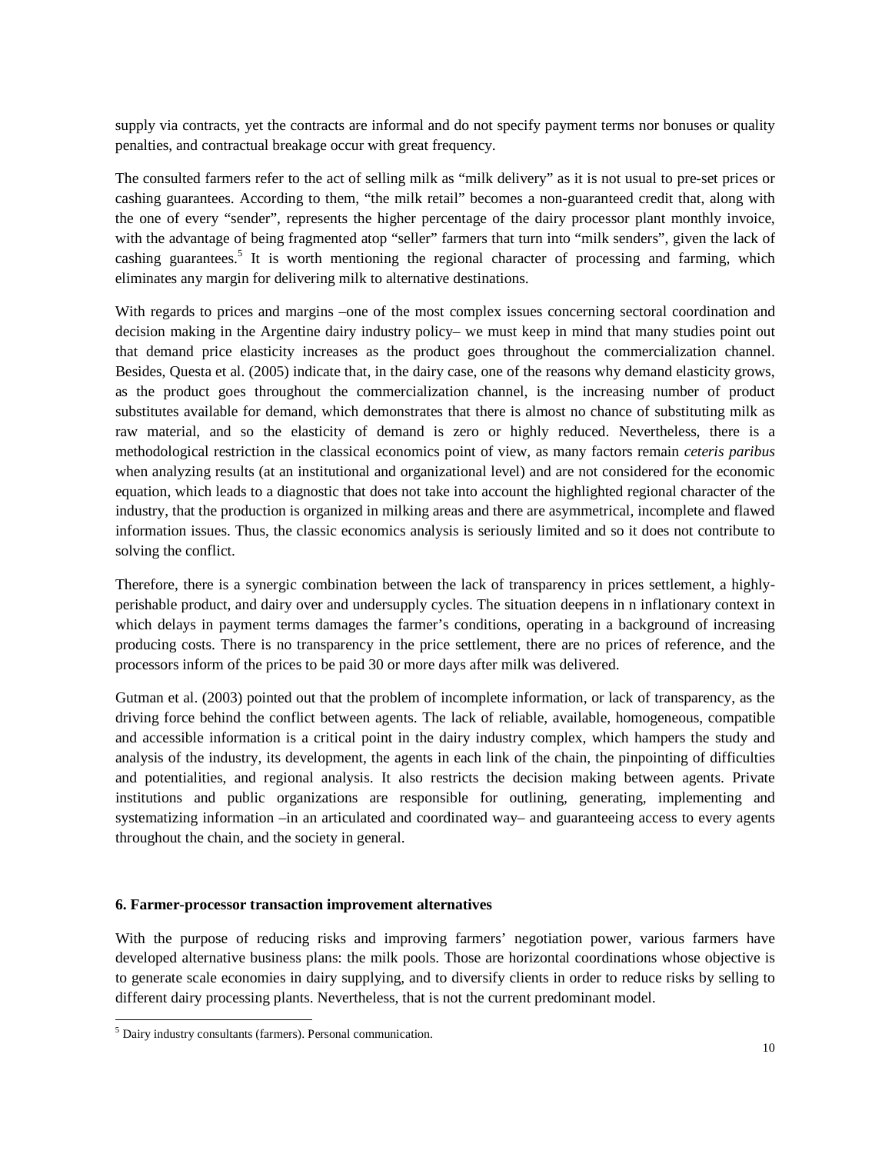supply via contracts, yet the contracts are informal and do not specify payment terms nor bonuses or quality penalties, and contractual breakage occur with great frequency.

The consulted farmers refer to the act of selling milk as "milk delivery" as it is not usual to pre-set prices or cashing guarantees. According to them, "the milk retail" becomes a non-guaranteed credit that, along with the one of every "sender", represents the higher percentage of the dairy processor plant monthly invoice, with the advantage of being fragmented atop "seller" farmers that turn into "milk senders", given the lack of cashing guarantees.<sup>5</sup> It is worth mentioning the regional character of processing and farming, which eliminates any margin for delivering milk to alternative destinations.

With regards to prices and margins –one of the most complex issues concerning sectoral coordination and decision making in the Argentine dairy industry policy– we must keep in mind that many studies point out that demand price elasticity increases as the product goes throughout the commercialization channel. Besides, Questa et al. (2005) indicate that, in the dairy case, one of the reasons why demand elasticity grows, as the product goes throughout the commercialization channel, is the increasing number of product substitutes available for demand, which demonstrates that there is almost no chance of substituting milk as raw material, and so the elasticity of demand is zero or highly reduced. Nevertheless, there is a methodological restriction in the classical economics point of view, as many factors remain *ceteris paribus* when analyzing results (at an institutional and organizational level) and are not considered for the economic equation, which leads to a diagnostic that does not take into account the highlighted regional character of the industry, that the production is organized in milking areas and there are asymmetrical, incomplete and flawed information issues. Thus, the classic economics analysis is seriously limited and so it does not contribute to solving the conflict.

Therefore, there is a synergic combination between the lack of transparency in prices settlement, a highlyperishable product, and dairy over and undersupply cycles. The situation deepens in n inflationary context in which delays in payment terms damages the farmer's conditions, operating in a background of increasing producing costs. There is no transparency in the price settlement, there are no prices of reference, and the processors inform of the prices to be paid 30 or more days after milk was delivered.

Gutman et al. (2003) pointed out that the problem of incomplete information, or lack of transparency, as the driving force behind the conflict between agents. The lack of reliable, available, homogeneous, compatible and accessible information is a critical point in the dairy industry complex, which hampers the study and analysis of the industry, its development, the agents in each link of the chain, the pinpointing of difficulties and potentialities, and regional analysis. It also restricts the decision making between agents. Private institutions and public organizations are responsible for outlining, generating, implementing and systematizing information –in an articulated and coordinated way– and guaranteeing access to every agents throughout the chain, and the society in general.

#### **6. Farmer-processor transaction improvement alternatives**

With the purpose of reducing risks and improving farmers' negotiation power, various farmers have developed alternative business plans: the milk pools. Those are horizontal coordinations whose objective is to generate scale economies in dairy supplying, and to diversify clients in order to reduce risks by selling to different dairy processing plants. Nevertheless, that is not the current predominant model.

 $\overline{a}$ 

<sup>5</sup> Dairy industry consultants (farmers). Personal communication.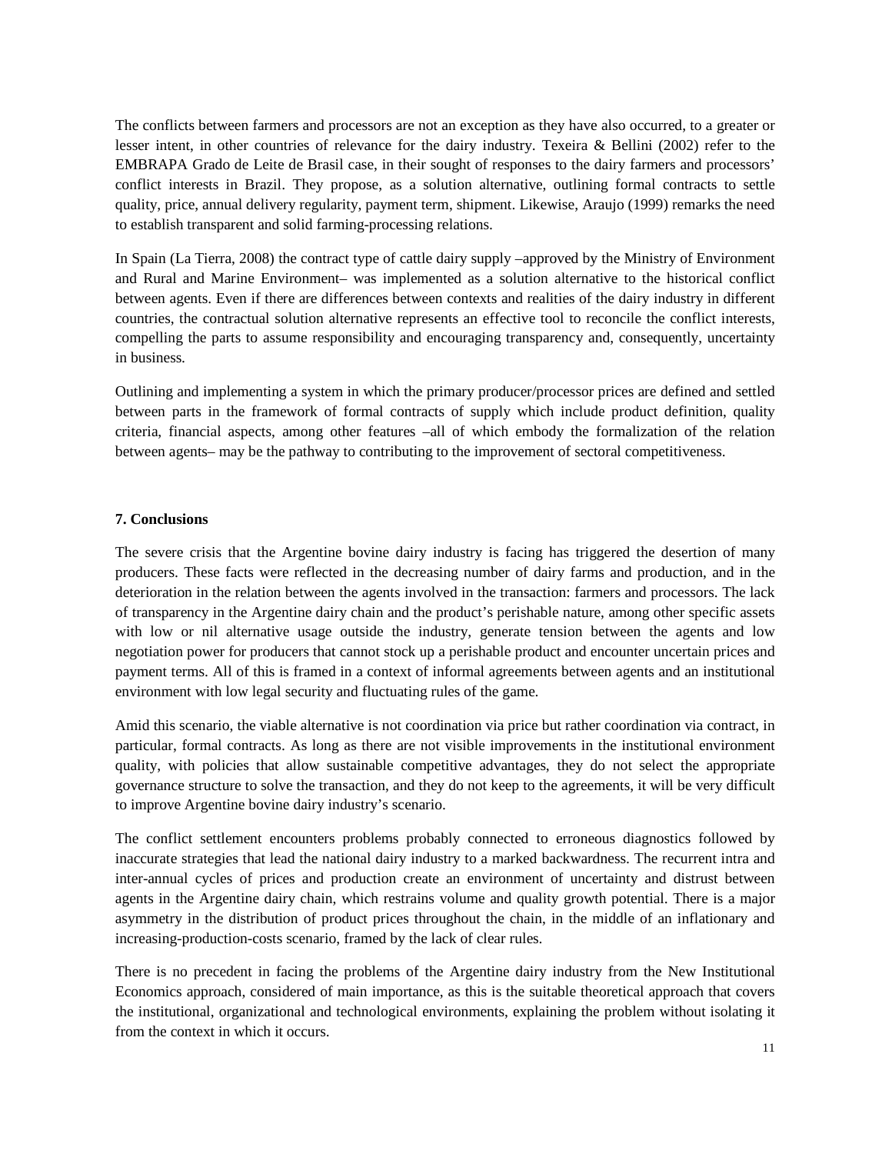The conflicts between farmers and processors are not an exception as they have also occurred, to a greater or lesser intent, in other countries of relevance for the dairy industry. Texeira & Bellini (2002) refer to the EMBRAPA Grado de Leite de Brasil case, in their sought of responses to the dairy farmers and processors' conflict interests in Brazil. They propose, as a solution alternative, outlining formal contracts to settle quality, price, annual delivery regularity, payment term, shipment. Likewise, Araujo (1999) remarks the need to establish transparent and solid farming-processing relations.

In Spain (La Tierra, 2008) the contract type of cattle dairy supply –approved by the Ministry of Environment and Rural and Marine Environment– was implemented as a solution alternative to the historical conflict between agents. Even if there are differences between contexts and realities of the dairy industry in different countries, the contractual solution alternative represents an effective tool to reconcile the conflict interests, compelling the parts to assume responsibility and encouraging transparency and, consequently, uncertainty in business.

Outlining and implementing a system in which the primary producer/processor prices are defined and settled between parts in the framework of formal contracts of supply which include product definition, quality criteria, financial aspects, among other features –all of which embody the formalization of the relation between agents– may be the pathway to contributing to the improvement of sectoral competitiveness.

#### **7. Conclusions**

The severe crisis that the Argentine bovine dairy industry is facing has triggered the desertion of many producers. These facts were reflected in the decreasing number of dairy farms and production, and in the deterioration in the relation between the agents involved in the transaction: farmers and processors. The lack of transparency in the Argentine dairy chain and the product's perishable nature, among other specific assets with low or nil alternative usage outside the industry, generate tension between the agents and low negotiation power for producers that cannot stock up a perishable product and encounter uncertain prices and payment terms. All of this is framed in a context of informal agreements between agents and an institutional environment with low legal security and fluctuating rules of the game.

Amid this scenario, the viable alternative is not coordination via price but rather coordination via contract, in particular, formal contracts. As long as there are not visible improvements in the institutional environment quality, with policies that allow sustainable competitive advantages, they do not select the appropriate governance structure to solve the transaction, and they do not keep to the agreements, it will be very difficult to improve Argentine bovine dairy industry's scenario.

The conflict settlement encounters problems probably connected to erroneous diagnostics followed by inaccurate strategies that lead the national dairy industry to a marked backwardness. The recurrent intra and inter-annual cycles of prices and production create an environment of uncertainty and distrust between agents in the Argentine dairy chain, which restrains volume and quality growth potential. There is a major asymmetry in the distribution of product prices throughout the chain, in the middle of an inflationary and increasing-production-costs scenario, framed by the lack of clear rules.

There is no precedent in facing the problems of the Argentine dairy industry from the New Institutional Economics approach, considered of main importance, as this is the suitable theoretical approach that covers the institutional, organizational and technological environments, explaining the problem without isolating it from the context in which it occurs.